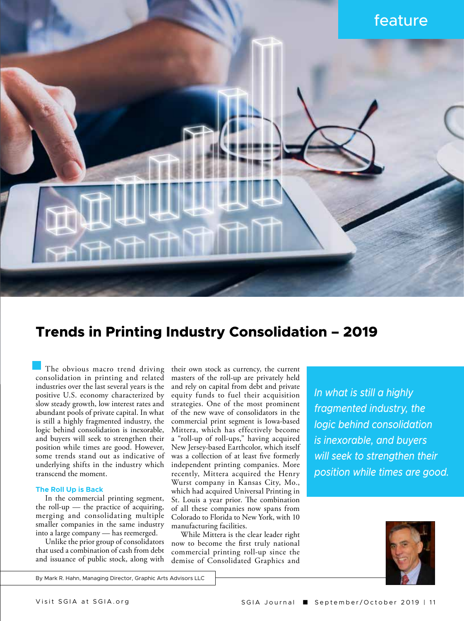

# **Trends in Printing Industry Consolidation – 2019**

The obvious macro trend driving consolidation in printing and related industries over the last several years is the positive U.S. economy characterized by slow steady growth, low interest rates and abundant pools of private capital. In what is still a highly fragmented industry, the logic behind consolidation is inexorable, and buyers will seek to strengthen their position while times are good. However, some trends stand out as indicative of underlying shifts in the industry which transcend the moment.

## **The Roll Up is Back**

In the commercial printing segment, the roll-up  $-$  the practice of acquiring, merging and consolidating multiple smaller companies in the same industry into a large company — has reemerged.

Unlike the prior group of consolidators that used a combination of cash from debt and issuance of public stock, along with

their own stock as currency, the current masters of the roll-up are privately held and rely on capital from debt and private equity funds to fuel their acquisition strategies. One of the most prominent of the new wave of consolidators in the commercial print segment is Iowa-based Mittera, which has effectively become a "roll-up of roll-ups," having acquired New Jersey-based Earthcolor, which itself was a collection of at least five formerly independent printing companies. More recently, Mittera acquired the Henry Wurst company in Kansas City, Mo., which had acquired Universal Printing in St. Louis a year prior. The combination of all these companies now spans from Colorado to Florida to New York, with 10 manufacturing facilities.

While Mittera is the clear leader right now to become the first truly national commercial printing roll-up since the demise of Consolidated Graphics and

*In what is still a highly fragmented industry, the logic behind consolidation is inexorable, and buyers will seek to strengthen their position while times are good.*



By Mark R. Hahn, Managing Director, Graphic Arts Advisors LLC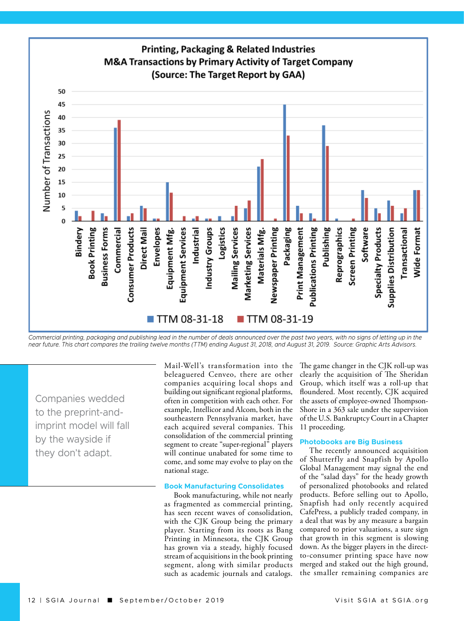

Commercial printing, packaging and publishing lead in the number of deals announced over the past two years, with no signs of letting up in the *near future. This chart compares the trailing twelve months (TTM) ending August 31, 2018, and August 31, 2019. Source: Graphic Arts Advisors.*

Companies wedded to the preprint-andimprint model will fall by the wayside if they don't adapt.

Mail-Well's transformation into the beleaguered Cenveo, there are other companies acquiring local shops and building out significant regional platforms, often in competition with each other. For example, Intellicor and Alcom, both in the southeastern Pennsylvania market, have each acquired several companies. This 11 proceeding. consolidation of the commercial printing segment to create "super-regional" players will continue unabated for some time to come, and some may evolve to play on the national stage.

#### **Book Manufacturing Consolidates**

Book manufacturing, while not nearly as fragmented as commercial printing, has seen recent waves of consolidation, with the CJK Group being the primary player. Starting from its roots as Bang Printing in Minnesota, the CJK Group has grown via a steady, highly focused stream of acquisitions in the book printing segment, along with similar products such as academic journals and catalogs. The game changer in the CJK roll-up was clearly the acquisition of The Sheridan Group, which itself was a roll-up that floundered. Most recently, CJK acquired the assets of employee-owned Thompson-Shore in a 363 sale under the supervision of the U.S. Bankruptcy Court in a Chapter

#### **Photobooks are Big Business**

The recently announced acquisition of Shutterfly and Snapfish by Apollo Global Management may signal the end of the "salad days" for the heady growth of personalized photobooks and related products. Before selling out to Apollo, Snapfish had only recently acquired CafePress, a publicly traded company, in a deal that was by any measure a bargain compared to prior valuations, a sure sign that growth in this segment is slowing down. As the bigger players in the directto-consumer printing space have now merged and staked out the high ground, the smaller remaining companies are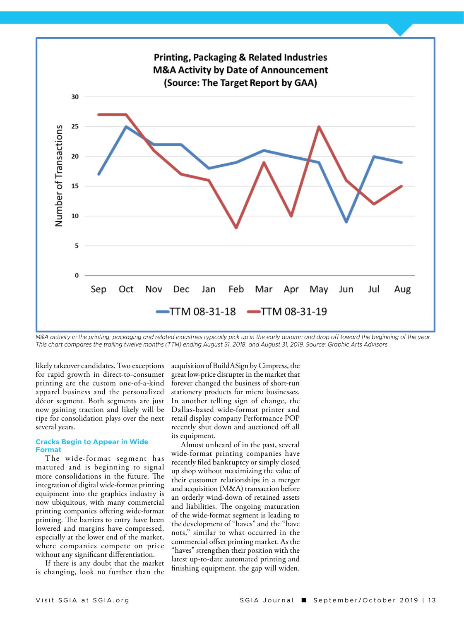

*M&A activity in the printing, packaging and related industries typically pick up in the early autumn and drop off toward the beginning of the year. This chart compares the trailing twelve months (TTM) ending August 31, 2018, and August 31, 2019. Source: Graphic Arts Advisors.* 

likely takeover candidates. Two exceptions for rapid growth in direct-to-consumer printing are the custom one-of-a-kind apparel business and the personalized décor segment. Both segments are just now gaining traction and likely will be ripe for consolidation plays over the next several years.

## **Cracks Begin to Appear in Wide Format**

The wide-format segment has matured and is beginning to signal more consolidations in the future. The integration of digital wide-format printing equipment into the graphics industry is now ubiquitous, with many commercial printing companies offering wide-format printing. The barriers to entry have been lowered and margins have compressed, especially at the lower end of the market, where companies compete on price without any significant differentiation.

If there is any doubt that the market is changing, look no further than the

acquisition of BuildASign by Cimpress, the great low-price disrupter in the market that forever changed the business of short-run stationery products for micro businesses. In another telling sign of change, the Dallas-based wide-format printer and retail display company Performance POP recently shut down and auctioned off all its equipment.

Almost unheard of in the past, several wide-format printing companies have recently filed bankruptcy or simply closed up shop without maximizing the value of their customer relationships in a merger and acquisition (M&A) transaction before an orderly wind-down of retained assets and liabilities. The ongoing maturation of the wide-format segment is leading to the development of "haves" and the "have nots," similar to what occurred in the commercial offset printing market. As the "haves" strengthen their position with the latest up-to-date automated printing and finishing equipment, the gap will widen.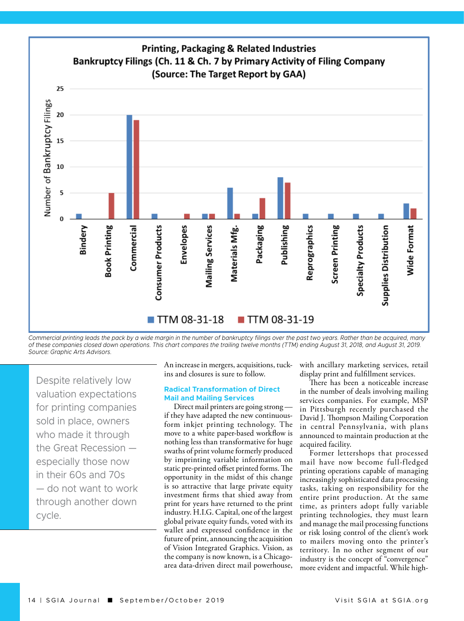

*Commercial printing leads the pack by a wide margin in the number of bankruptcy filings over the past two years. Rather than be acquired, many of these companies closed down operations. This chart compares the trailing twelve months (TTM) ending August 31, 2018, and August 31, 2019. Source: Graphic Arts Advisors.* 

Despite relatively low valuation expectations for printing companies sold in place, owners who made it through the Great Recession especially those now in their 60s and 70s — do not want to work through another down cycle.

An increase in mergers, acquisitions, tuckins and closures is sure to follow.

## **Radical Transformation of Direct Mail and Mailing Services**

Direct mail printers are going strong if they have adapted the new continuousform inkjet printing technology. The move to a white paper-based workflow is nothing less than transformative for huge swaths of print volume formerly produced by imprinting variable information on static pre-printed offset printed forms. The opportunity in the midst of this change is so attractive that large private equity investment firms that shied away from print for years have returned to the print industry. H.I.G. Capital, one of the largest global private equity funds, voted with its wallet and expressed confidence in the future of print, announcing the acquisition of Vision Integrated Graphics. Vision, as the company is now known, is a Chicagoarea data-driven direct mail powerhouse,

with ancillary marketing services, retail display print and fulfillment services.

There has been a noticeable increase in the number of deals involving mailing services companies. For example, MSP in Pittsburgh recently purchased the David J. Thompson Mailing Corporation in central Pennsylvania, with plans announced to maintain production at the acquired facility.

Former lettershops that processed mail have now become full-fledged printing operations capable of managing increasingly sophisticated data processing tasks, taking on responsibility for the entire print production. At the same time, as printers adopt fully variable printing technologies, they must learn and manage the mail processing functions or risk losing control of the client's work to mailers moving onto the printer's territory. In no other segment of our industry is the concept of "convergence" more evident and impactful. While high-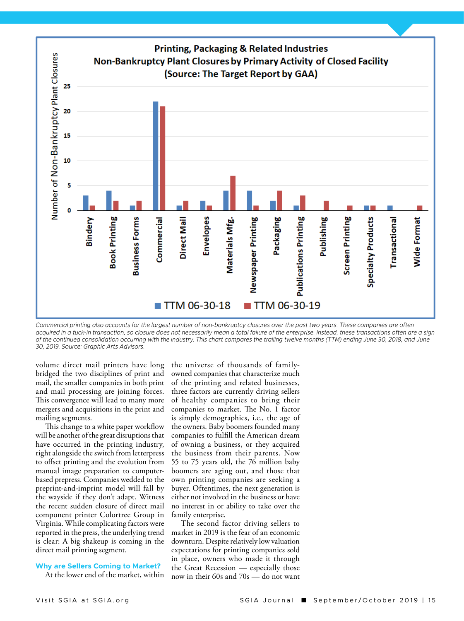

*Commercial printing also accounts for the largest number of non-bankruptcy closures over the past two years. These companies are often acquired in a tuck-in transaction, so closure does not necessarily mean a total failure of the enterprise. Instead, these transactions often are a sign of the continued consolidation occurring with the industry. This chart compares the trailing twelve months (TTM) ending June 30, 2018, and June 30, 2019. Source: Graphic Arts Advisors.* 

volume direct mail printers have long bridged the two disciplines of print and mail, the smaller companies in both print and mail processing are joining forces. This convergence will lead to many more mergers and acquisitions in the print and mailing segments.

This change to a white paper workflow will be another of the great disruptions that have occurred in the printing industry, right alongside the switch from letterpress to offset printing and the evolution from manual image preparation to computerbased prepress. Companies wedded to the preprint-and-imprint model will fall by the wayside if they don't adapt. Witness the recent sudden closure of direct mail component printer Colortree Group in Virginia. While complicating factors were reported in the press, the underlying trend is clear: A big shakeup is coming in the direct mail printing segment.

#### **Why are Sellers Coming to Market?**

At the lower end of the market, within

the universe of thousands of familyowned companies that characterize much of the printing and related businesses, three factors are currently driving sellers of healthy companies to bring their companies to market. The No. 1 factor is simply demographics, i.e., the age of the owners. Baby boomers founded many companies to fulfill the American dream of owning a business, or they acquired the business from their parents. Now 55 to 75 years old, the 76 million baby boomers are aging out, and those that own printing companies are seeking a buyer. Oftentimes, the next generation is either not involved in the business or have no interest in or ability to take over the family enterprise.

The second factor driving sellers to market in 2019 is the fear of an economic downturn. Despite relatively low valuation expectations for printing companies sold in place, owners who made it through the Great Recession — especially those now in their 60s and 70s — do not want